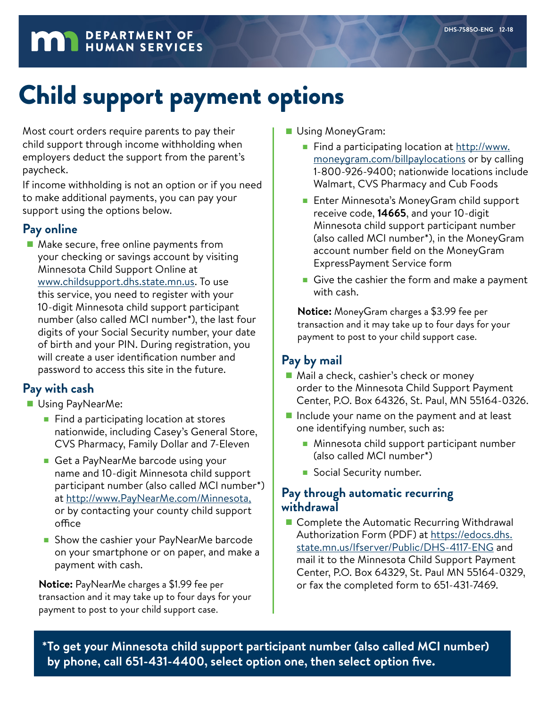# **MAN** DEPARTMENT OF

# Child support payment options

Most court orders require parents to pay their child support through income withholding when employers deduct the support from the parent's paycheck.

If income withholding is not an option or if you need to make additional payments, you can pay your support using the options below.

#### **Pay online**

■ Make secure, free online payments from your checking or savings account by visiting Minnesota Child Support Online at [www.childsupport.dhs.state.mn.us.](http://www.childsupport.dhs.state.mn.us) To use this service, you need to register with your 10-digit Minnesota child support participant number (also called MCI number\*), the last four digits of your Social Security number, your date of birth and your PIN. During registration, you will create a user identification number and password to access this site in the future.

#### **Pay with cash**

- Using PayNearMe:
	- Find a participating location at stores nationwide, including Casey's General Store, CVS Pharmacy, Family Dollar and 7-Eleven
	- Get a PayNearMe barcode using your name and 10-digit Minnesota child support participant number (also called MCI number\*) at<http://www.PayNearMe.com/Minnesota>, or by contacting your [county child support](https://www.childsup.ca.gov/home/lcsaoffices.aspx)  [office](https://www.childsup.ca.gov/home/lcsaoffices.aspx)
	- Show the cashier your PayNearMe barcode on your smartphone or on paper, and make a payment with cash.

**Notice:** PayNearMe charges a \$1.99 fee per transaction and it may take up to four days for your payment to post to your child support case.

- Using MoneyGram:
	- Find a participating location at [http://www.](http://www.moneygram.com/billpaylocations) [moneygram.com/billpaylocations](http://www.moneygram.com/billpaylocations) or by calling 1-800-926-9400; nationwide locations include Walmart, CVS Pharmacy and Cub Foods
	- Enter Minnesota's MoneyGram child support receive code, **14665**, and your 10-digit Minnesota child support participant number (also called MCI number\*), in the MoneyGram account number field on the MoneyGram ExpressPayment Service form
	- Give the cashier the form and make a payment with cash.

**Notice:** MoneyGram charges a \$3.99 fee per transaction and it may take up to four days for your payment to post to your child support case.

### **Pay by mail**

- Mail a check, cashier's check or money order to the Minnesota Child Support Payment Center, P.O. Box 64326, St. Paul, MN 55164-0326.
- Include your name on the payment and at least one identifying number, such as:
	- Minnesota child support participant number (also called MCI number\*)
	- Social Security number.

#### **Pay through automatic recurring withdrawal**

■ Complete the Automatic Recurring Withdrawal Authorization Form (PDF) at [https://edocs.dhs.](https://edocs.dhs.state.mn.us/lfserver/Public/DHS-4117-ENG) [state.mn.us/lfserver/Public/DHS-4117-ENG](https://edocs.dhs.state.mn.us/lfserver/Public/DHS-4117-ENG) and mail it to the Minnesota Child Support Payment Center, P.O. Box 64329, St. Paul MN 55164-0329, or fax the completed form to 651-431-7469.

**\*To get your Minnesota child support participant number (also called MCI number) by phone, call 651-431-4400, select option one, then select option five.**